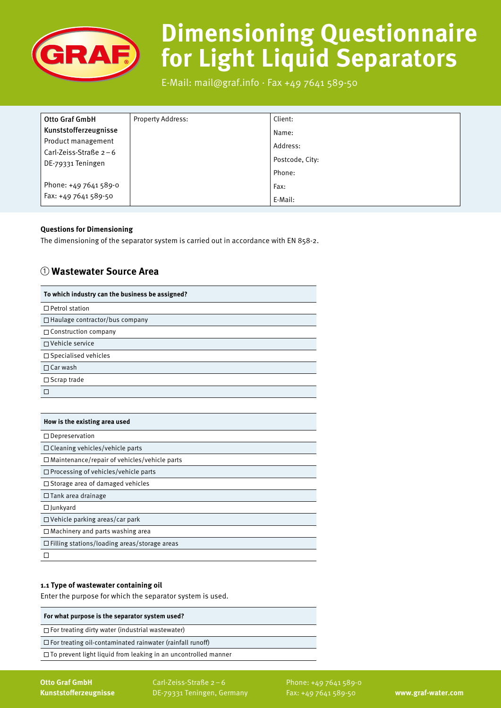

# **Dimensioning Questionnaire for Light Liquid Separators**

E-Mail: mail@graf.info ∙ Fax +49 7641 589-50

| <b>Otto Graf GmbH</b>   | <b>Property Address:</b> | Client:         |
|-------------------------|--------------------------|-----------------|
| Kunststofferzeugnisse   |                          | Name:           |
| Product management      |                          | Address:        |
| Carl-Zeiss-Straße $2-6$ |                          | Postcode, City: |
| DE-79331 Teningen       |                          | Phone:          |
| Phone: +49 7641 589-0   |                          | Fax:            |
| Fax: +49 7641 589-50    |                          | E-Mail:         |

# **Questions for Dimensioning**

The dimensioning of the separator system is carried out in accordance with EN 858-2.

# 1 **Wastewater Source Area**

| To which industry can the business be assigned?     |
|-----------------------------------------------------|
| $\Box$ Petrol station                               |
| $\Box$ Haulage contractor/bus company               |
| $\Box$ Construction company                         |
| □ Vehicle service                                   |
| □ Specialised vehicles                              |
| $\Box$ Car wash                                     |
| $\square$ Scrap trade                               |
| ⊓                                                   |
|                                                     |
| How is the existing area used                       |
| $\Box$ Depreservation                               |
| □ Cleaning vehicles/vehicle parts                   |
| $\Box$ Maintenance/repair of vehicles/vehicle parts |
| $\Box$ Processing of vehicles/vehicle parts         |
| $\Box$ Storage area of damaged vehicles             |
| $\Box$ Tank area drainage                           |
| $\Box$ Junkyard                                     |
| $\Box$ Vehicle parking areas/car park               |
| $\Box$ Machinery and parts washing area             |
| $\Box$ Filling stations/loading areas/storage areas |
| П                                                   |

# **1.1 Type of wastewater containing oil**

Enter the purpose for which the separator system is used.

#### **For what purpose is the separator system used?**

 $\Box$  For treating dirty water (industrial wastewater)

 $\square$  For treating oil-contaminated rainwater (rainfall runoff)

 $\square$  To prevent light liquid from leaking in an uncontrolled manner

**Otto Graf GmbH Kunststofferzeugnisse**  Carl-Zeiss-Straße 2–6 DE-79331 Teningen, Germany Phone: +49 7641 589-0 Fax: +49 7641 589-50 **www.graf-water.com**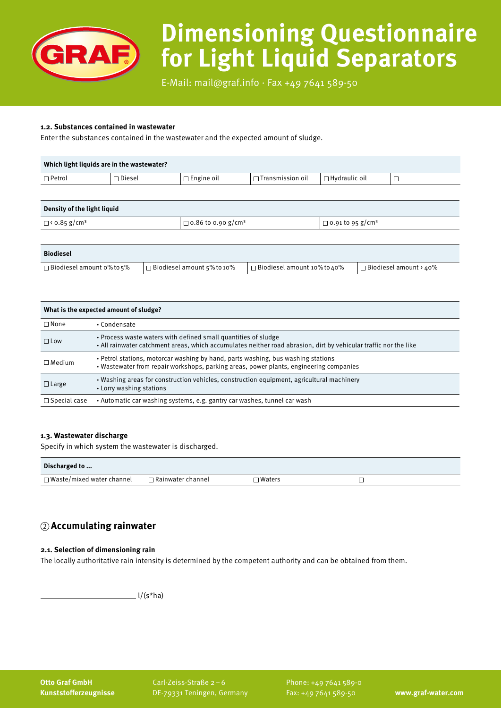

# **Dimensioning Questionnaire for Light Liquid Separators**

E-Mail: mail@graf.info ∙ Fax +49 7641 589-50

#### **1.2. Substances contained in wastewater**

Enter the substances contained in the wastewater and the expected amount of sludge.

| Which light liquids are in the wastewater? |               |                   |                      |                   |  |
|--------------------------------------------|---------------|-------------------|----------------------|-------------------|--|
| $\Box$ Petrol                              | $\Box$ Diesel | $\Box$ Engine oil | ` □ Transmission oil | ∣ □ Hydraulic oil |  |
|                                            |               |                   |                      |                   |  |

| Density of the light liquid     |                                       |                                     |
|---------------------------------|---------------------------------------|-------------------------------------|
| $\Box$ < 0.85 g/cm <sup>3</sup> | $\Box$ 0.86 to 0.90 g/cm <sup>3</sup> | $\Box$ 0.91 to 95 g/cm <sup>3</sup> |

| <b>Biodiesel</b>                 |                                |                                 |                            |
|----------------------------------|--------------------------------|---------------------------------|----------------------------|
| $\Box$ Biodiesel amount 0% to 5% | l □ Biodiesel amount 5% to 10% | ∣ □ Biodiesel amount 10% to 40% | l □ Biodiesel amount > 40% |

| What is the expected amount of sludge? |                                                                                                                                                                                    |  |
|----------------------------------------|------------------------------------------------------------------------------------------------------------------------------------------------------------------------------------|--|
| $\Box$ None                            | • Condensate                                                                                                                                                                       |  |
| $\Box$ Low                             | . Process waste waters with defined small quantities of sludge<br>• All rainwater catchment areas, which accumulates neither road abrasion, dirt by vehicular traffic nor the like |  |
| $\Box$ Medium                          | • Petrol stations, motorcar washing by hand, parts washing, bus washing stations<br>• Wastewater from repair workshops, parking areas, power plants, engineering companies         |  |
| $\Box$ Large                           | • Washing areas for construction vehicles, construction equipment, agricultural machinery<br>• Lorry washing stations                                                              |  |
| $\Box$ Special case                    | • Automatic car washing systems, e.g. gantry car washes, tunnel car wash                                                                                                           |  |

#### **1.3. Wastewater discharge**

Specify in which system the wastewater is discharged.

| Discharged to                    |                          |               |  |
|----------------------------------|--------------------------|---------------|--|
| $\Box$ Waste/mixed water channel | $\Box$ Rainwater channel | $\Box$ Waters |  |

# 2 **Accumulating rainwater**

# **2.1. Selection of dimensioning rain**

The locally authoritative rain intensity is determined by the competent authority and can be obtained from them.

 $\angle$ l/(s\*ha)

**Otto Graf GmbH Kunststofferzeugnisse**  Carl-Zeiss-Straße 2–6 DE-79331 Teningen, Germany Phone: +49 7641 589-0 Fax: +49 7641 589-50